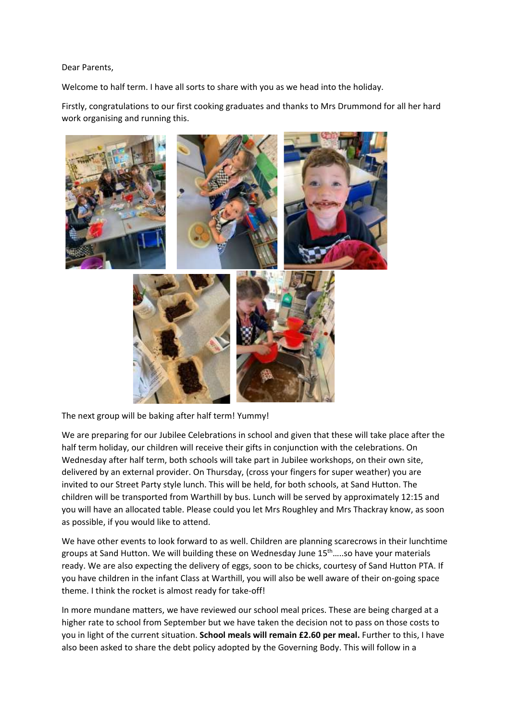## Dear Parents,

Welcome to half term. I have all sorts to share with you as we head into the holiday.

Firstly, congratulations to our first cooking graduates and thanks to Mrs Drummond for all her hard work organising and running this.



The next group will be baking after half term! Yummy!

We are preparing for our Jubilee Celebrations in school and given that these will take place after the half term holiday, our children will receive their gifts in conjunction with the celebrations. On Wednesday after half term, both schools will take part in Jubilee workshops, on their own site, delivered by an external provider. On Thursday, (cross your fingers for super weather) you are invited to our Street Party style lunch. This will be held, for both schools, at Sand Hutton. The children will be transported from Warthill by bus. Lunch will be served by approximately 12:15 and you will have an allocated table. Please could you let Mrs Roughley and Mrs Thackray know, as soon as possible, if you would like to attend.

We have other events to look forward to as well. Children are planning scarecrows in their lunchtime groups at Sand Hutton. We will building these on Wednesday June 15 th…..so have your materials ready. We are also expecting the delivery of eggs, soon to be chicks, courtesy of Sand Hutton PTA. If you have children in the infant Class at Warthill, you will also be well aware of their on-going space theme. I think the rocket is almost ready for take-off!

In more mundane matters, we have reviewed our school meal prices. These are being charged at a higher rate to school from September but we have taken the decision not to pass on those costs to you in light of the current situation. **School meals will remain £2.60 per meal.** Further to this, I have also been asked to share the debt policy adopted by the Governing Body. This will follow in a